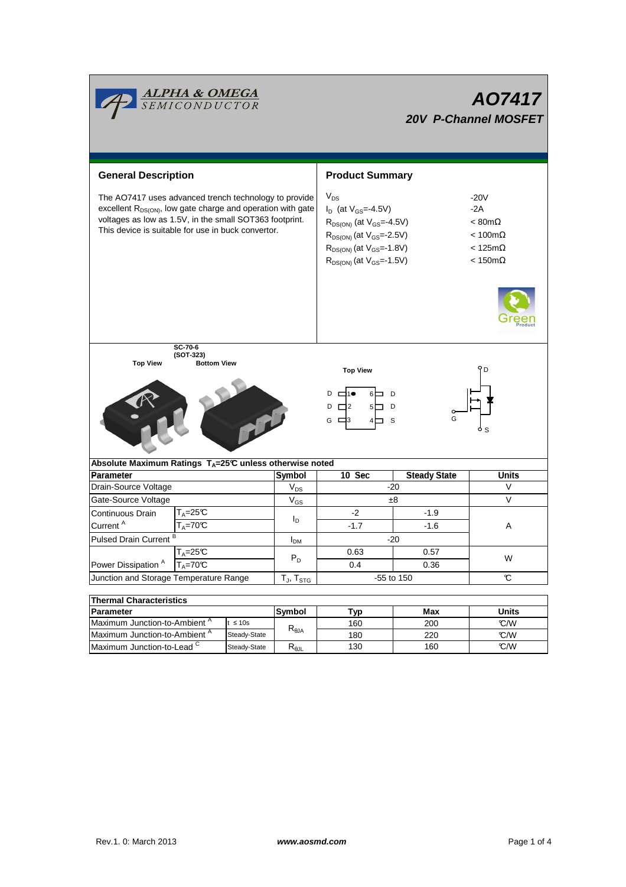|                                                                                                                                                                                                                                                   | <mark>ALPHA &amp; OMEGA</mark><br>SEMICONDUCTOR |                 |                       | AO7417<br><b>20V P-Channel MOSFET</b>                                                                                                                                                              |                                                                                                                        |                     |  |  |  |
|---------------------------------------------------------------------------------------------------------------------------------------------------------------------------------------------------------------------------------------------------|-------------------------------------------------|-----------------|-----------------------|----------------------------------------------------------------------------------------------------------------------------------------------------------------------------------------------------|------------------------------------------------------------------------------------------------------------------------|---------------------|--|--|--|
| <b>General Description</b>                                                                                                                                                                                                                        |                                                 |                 |                       | <b>Product Summary</b>                                                                                                                                                                             |                                                                                                                        |                     |  |  |  |
| The AO7417 uses advanced trench technology to provide<br>excellent R <sub>DS(ON)</sub> , low gate charge and operation with gate<br>voltages as low as 1.5V, in the small SOT363 footprint.<br>This device is suitable for use in buck convertor. |                                                 |                 |                       | $V_{DS}$<br>$I_D$ (at $V_{GS} = -4.5V$ )<br>$R_{DS(ON)}$ (at $V_{GS} = 4.5V$ )<br>$R_{DS(ON)}$ (at $V_{GS} = -2.5V$ )<br>$R_{DS(ON)}$ (at $V_{GS} = -1.8V$ )<br>$R_{DS(ON)}$ (at $V_{GS} = 1.5V$ ) | $-20V$<br>$-2A$<br>$< 80 \text{m}\Omega$<br>$< 100 \text{m}\Omega$<br>$< 125 \text{m}\Omega$<br>$< 150 \text{m}\Omega$ |                     |  |  |  |
| SC-70-6<br>(SOT-323)<br><b>Top View</b><br><b>Bottom View</b><br><b>Top View</b><br>D<br>D<br>$\Box$ 2<br>D<br>D<br>G $\Box$ 3<br>- S                                                                                                             |                                                 |                 |                       |                                                                                                                                                                                                    |                                                                                                                        |                     |  |  |  |
| Absolute Maximum Ratings T <sub>A</sub> =25℃ unless otherwise noted                                                                                                                                                                               |                                                 |                 |                       |                                                                                                                                                                                                    |                                                                                                                        |                     |  |  |  |
| <b>Parameter</b>                                                                                                                                                                                                                                  |                                                 |                 | <b>Symbol</b>         | 10 Sec                                                                                                                                                                                             | <b>Steady State</b>                                                                                                    | <b>Units</b>        |  |  |  |
| Drain-Source Voltage                                                                                                                                                                                                                              |                                                 |                 | $V_{DS}$              | $-20$                                                                                                                                                                                              | V                                                                                                                      |                     |  |  |  |
| Gate-Source Voltage                                                                                                                                                                                                                               |                                                 |                 | $V_{GS}$              | ±8                                                                                                                                                                                                 | V                                                                                                                      |                     |  |  |  |
| Continuous Drain                                                                                                                                                                                                                                  | $T_A = 25C$<br>$T_A = 70C$                      |                 | $I_D$                 | -2                                                                                                                                                                                                 | $-1.9$                                                                                                                 | Α                   |  |  |  |
| Current <sup>A</sup>                                                                                                                                                                                                                              |                                                 |                 |                       | $-1.7$                                                                                                                                                                                             | $-1.6$                                                                                                                 |                     |  |  |  |
| Pulsed Drain Current <sup>B</sup>                                                                                                                                                                                                                 |                                                 |                 | <b>I<sub>DM</sub></b> | $-20$                                                                                                                                                                                              |                                                                                                                        |                     |  |  |  |
|                                                                                                                                                                                                                                                   | $T_A = 25C$<br>$T_A = 70$ °C                    |                 | $P_D$                 | 0.63                                                                                                                                                                                               | 0.57                                                                                                                   |                     |  |  |  |
| Power Dissipation <sup>A</sup>                                                                                                                                                                                                                    |                                                 |                 |                       | 0.4                                                                                                                                                                                                | 0.36                                                                                                                   | W                   |  |  |  |
| Junction and Storage Temperature Range                                                                                                                                                                                                            |                                                 |                 | $T_J$ , $T_{STG}$     | -55 to 150                                                                                                                                                                                         | $\mathbb C$                                                                                                            |                     |  |  |  |
|                                                                                                                                                                                                                                                   |                                                 |                 |                       |                                                                                                                                                                                                    |                                                                                                                        |                     |  |  |  |
| <b>Thermal Characteristics</b>                                                                                                                                                                                                                    |                                                 |                 |                       |                                                                                                                                                                                                    |                                                                                                                        |                     |  |  |  |
| <b>Parameter</b><br>Maximum Junction-to-Ambient <sup>A</sup><br>$t \leq 10s$                                                                                                                                                                      |                                                 |                 | Symbol                | <b>Typ</b><br>160                                                                                                                                                                                  | Max<br>200                                                                                                             | <b>Units</b><br>C/W |  |  |  |
| Maximum Junction-to-Ambient A<br>Steady-State                                                                                                                                                                                                     |                                                 | $R_{\theta JA}$ | 180                   | 220                                                                                                                                                                                                | C/W                                                                                                                    |                     |  |  |  |
| Maximum Junction-to-Lead <sup>C</sup><br>Steady-State                                                                                                                                                                                             |                                                 | $R_{\theta$ JL  | 130                   | 160                                                                                                                                                                                                | °C/W                                                                                                                   |                     |  |  |  |
|                                                                                                                                                                                                                                                   |                                                 |                 |                       |                                                                                                                                                                                                    |                                                                                                                        |                     |  |  |  |

Г

<u> The Communication of the Communication of</u>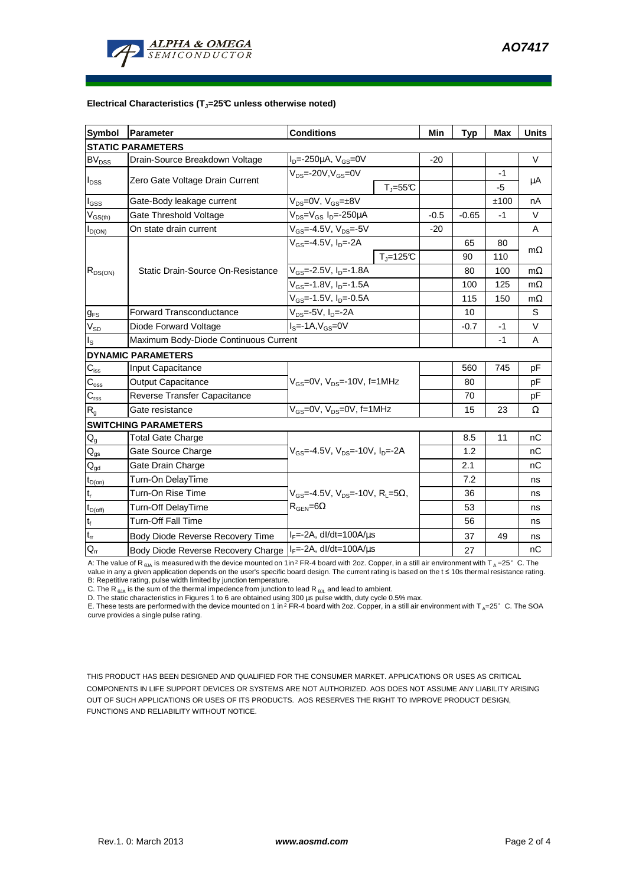

## **Electrical Characteristics (TJ=25°C unless otherwise noted)**

| <b>Symbol</b>                 | Parameter                                                                          | <b>Conditions</b>                                                        | Min    | <b>Typ</b> | <b>Max</b> | <b>Units</b> |  |  |  |  |  |
|-------------------------------|------------------------------------------------------------------------------------|--------------------------------------------------------------------------|--------|------------|------------|--------------|--|--|--|--|--|
| <b>STATIC PARAMETERS</b>      |                                                                                    |                                                                          |        |            |            |              |  |  |  |  |  |
| <b>BV<sub>DSS</sub></b>       | Drain-Source Breakdown Voltage                                                     | $I_{D} = -250 \mu A$ , $V_{GS} = 0V$                                     | $-20$  |            |            | $\vee$       |  |  |  |  |  |
| $I_{DSS}$                     | Zero Gate Voltage Drain Current                                                    | $V_{DS}$ =-20V, $V_{GS}$ =0V                                             |        |            | $-1$       | μA           |  |  |  |  |  |
|                               |                                                                                    | $T_{\parallel} = 55$ °C                                                  |        |            | -5         |              |  |  |  |  |  |
| $I_{GSS}$                     | Gate-Body leakage current                                                          | $V_{DS} = 0V$ , $V_{GS} = \pm 8V$                                        |        |            | ±100       | nA           |  |  |  |  |  |
| $V_{GS(th)}$                  | Gate Threshold Voltage                                                             | V <sub>DS</sub> =V <sub>GS</sub> I <sub>D</sub> =-250μA                  | $-0.5$ | $-0.65$    | -1         | V            |  |  |  |  |  |
| $I_{D(ON)}$                   | On state drain current                                                             | $V_{GS} = -4.5V, V_{DS} = -5V$                                           | $-20$  |            |            | A            |  |  |  |  |  |
| $R_{DS(ON)}$                  |                                                                                    | $V_{GS} = -4.5V$ , $I_D = -2A$                                           |        | 65         | 80         | $m\Omega$    |  |  |  |  |  |
|                               |                                                                                    | $T_J = 125C$                                                             |        | 90         | 110        |              |  |  |  |  |  |
|                               | Static Drain-Source On-Resistance                                                  | $V_{GS}$ =-2.5V, $I_{D}$ =-1.8A                                          |        | 80         | 100        | $m\Omega$    |  |  |  |  |  |
|                               |                                                                                    | V <sub>GS</sub> =-1.8V, I <sub>D</sub> =-1.5A                            |        | 100        | 125        | $m\Omega$    |  |  |  |  |  |
|                               |                                                                                    | $V_{GS}$ =-1.5V, $I_{D}$ =-0.5A                                          |        | 115        | 150        | $m\Omega$    |  |  |  |  |  |
| $g_{FS}$                      | <b>Forward Transconductance</b>                                                    | V <sub>DS</sub> =-5V, I <sub>D</sub> =-2A                                |        | 10         |            | S            |  |  |  |  |  |
| $V_{SD}$                      | Diode Forward Voltage<br>$IS=-1A, VGS=0V$                                          |                                                                          |        | $-0.7$     | -1         | V            |  |  |  |  |  |
| ls                            | Maximum Body-Diode Continuous Current                                              |                                                                          |        | -1         | A          |              |  |  |  |  |  |
|                               | <b>DYNAMIC PARAMETERS</b>                                                          |                                                                          |        |            |            |              |  |  |  |  |  |
| $C_{\text{iss}}$              | <b>Input Capacitance</b>                                                           |                                                                          |        | 560        | 745        | pF           |  |  |  |  |  |
| $C_{\rm oss}$                 | Output Capacitance                                                                 | $V_{GS}$ =0V, $V_{DS}$ =-10V, f=1MHz                                     |        | 80         |            | pF           |  |  |  |  |  |
| C <sub>rss</sub>              | Reverse Transfer Capacitance                                                       |                                                                          |        | 70         |            | pF           |  |  |  |  |  |
| $R_{g}$                       | Gate resistance                                                                    | V <sub>GS</sub> =0V, V <sub>DS</sub> =0V, f=1MHz                         |        | 15         | 23         | Ω            |  |  |  |  |  |
|                               | <b>SWITCHING PARAMETERS</b>                                                        |                                                                          |        |            |            |              |  |  |  |  |  |
| $Q_g$                         | <b>Total Gate Charge</b>                                                           |                                                                          |        | 8.5        | 11         | nC           |  |  |  |  |  |
| $Q_{gs}$                      | Gate Source Charge                                                                 | $V_{\text{GS}} = -4.5V$ , $V_{\text{DS}} = -10V$ , $I_{\text{DS}} = -2A$ |        | 1.2        |            | nC           |  |  |  |  |  |
| $\mathsf{Q}_{\text{gd}}$      | Gate Drain Charge                                                                  |                                                                          |        | 2.1        |            | nC           |  |  |  |  |  |
| $t_{D(on)}$                   | Turn-On DelayTime                                                                  |                                                                          |        | 7.2        |            | ns           |  |  |  |  |  |
| $\mathfrak{t}_{\mathsf{r}}$   | Turn-On Rise Time<br>$V_{GS}$ =-4.5V, $V_{DS}$ =-10V, R <sub>L</sub> =5 $\Omega$ , |                                                                          |        | 36         |            | ns           |  |  |  |  |  |
| $t_{D(off)}$                  | $R_{\text{GEN}} = 6\Omega$<br>Turn-Off DelayTime                                   |                                                                          |        | 53         |            | ns           |  |  |  |  |  |
| $\mathfrak{t}_{\mathfrak{f}}$ | <b>Turn-Off Fall Time</b>                                                          |                                                                          |        | 56         |            | ns           |  |  |  |  |  |
| $\mathsf{t}_\mathsf{rr}$      | Body Diode Reverse Recovery Time                                                   | $I_F = -2A$ , dl/dt=100A/ $\mu$ s                                        |        | 37         | 49         | ns           |  |  |  |  |  |
| $Q_{rr}$                      | Body Diode Reverse Recovery Charge   IF=-2A, dl/dt=100A/us                         |                                                                          |        | 27         |            | nC           |  |  |  |  |  |

A: The value of R <sub>sJA</sub> is measured with the device mounted on 1in<sup>2</sup> FR-4 board with 2oz. Copper, in a still air environment with T <sub>A</sub> =25°C. The<br>value in any a given application depends on the user's specific board des B: Repetitive rating, pulse width limited by junction temperature.

C. The R <sub>θJA</sub> is the sum of the thermal impedence from junction to lead R <sub>θJL</sub> and lead to ambient.<br>D. The static characteristics in Figures 1 to 6 are obtained using 300 μs pulse width, duty cycle 0.5% max.

E. These tests are performed with the device mounted on 1 in  ${}^{2}$  FR-4 board with 2oz. Copper, in a still air environment with T<sub>A</sub>=25°C. The SOA curve provides a single pulse rating.

THIS PRODUCT HAS BEEN DESIGNED AND QUALIFIED FOR THE CONSUMER MARKET. APPLICATIONS OR USES AS CRITICAL COMPONENTS IN LIFE SUPPORT DEVICES OR SYSTEMS ARE NOT AUTHORIZED. AOS DOES NOT ASSUME ANY LIABILITY ARISING OUT OF SUCH APPLICATIONS OR USES OF ITS PRODUCTS. AOS RESERVES THE RIGHT TO IMPROVE PRODUCT DESIGN, FUNCTIONS AND RELIABILITY WITHOUT NOTICE.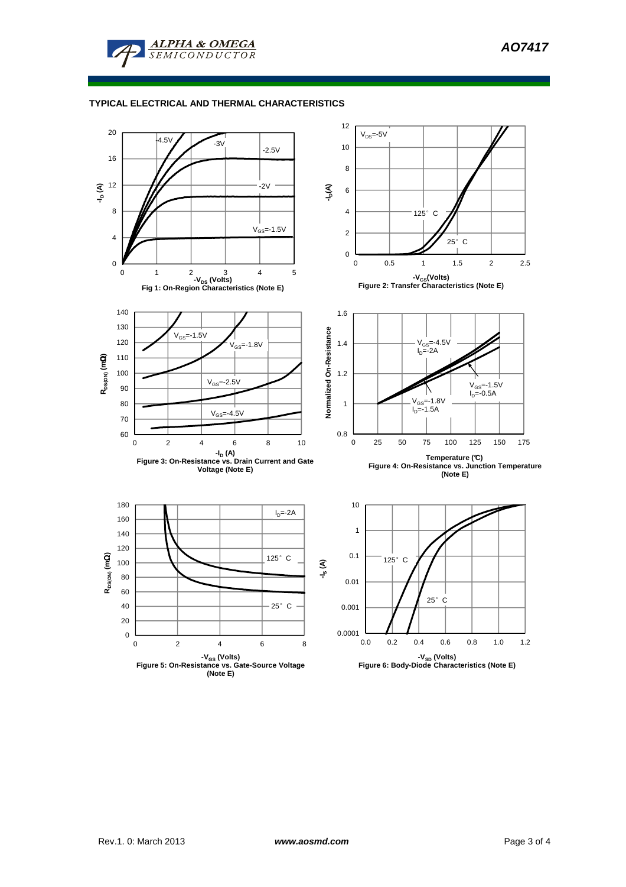

## **TYPICAL ELECTRICAL AND THERMAL CHARACTERISTICS**